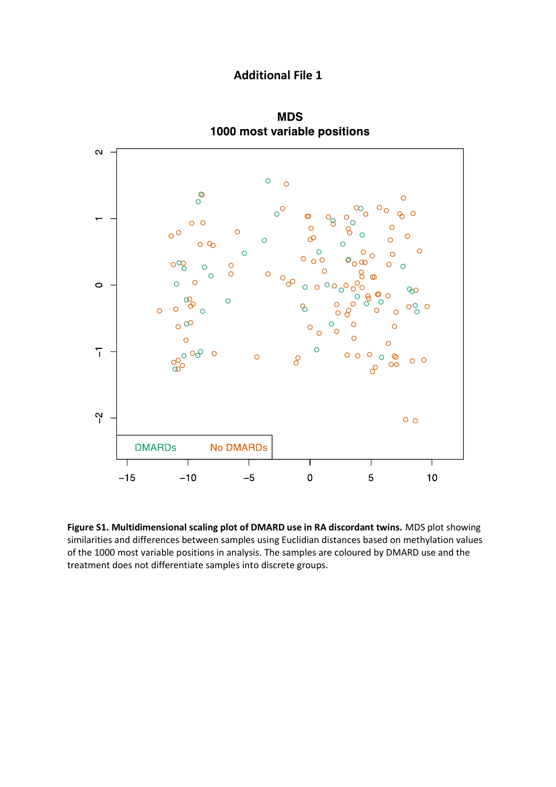## **Additional File 1**



**MDS** 1000 most variable positions

**Figure S1. Multidimensional scaling plot of DMARD use in RA discordant twins.** MDS plot showing similarities and differences between samples using Euclidian distances based on methylation values of the 1000 most variable positions in analysis. The samples are coloured by DMARD use and the treatment does not differentiate samples into discrete groups.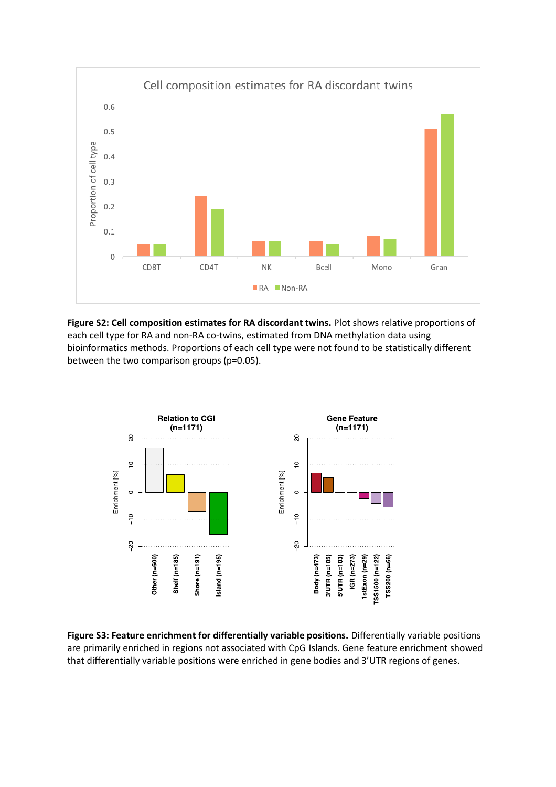

**Figure S2: Cell composition estimates for RA discordant twins.** Plot shows relative proportions of each cell type for RA and non-RA co-twins, estimated from DNA methylation data using bioinformatics methods. Proportions of each cell type were not found to be statistically different between the two comparison groups (p=0.05).



**Figure S3: Feature enrichment for differentially variable positions.** Differentially variable positions are primarily enriched in regions not associated with CpG Islands. Gene feature enrichment showed that differentially variable positions were enriched in gene bodies and 3'UTR regions of genes.